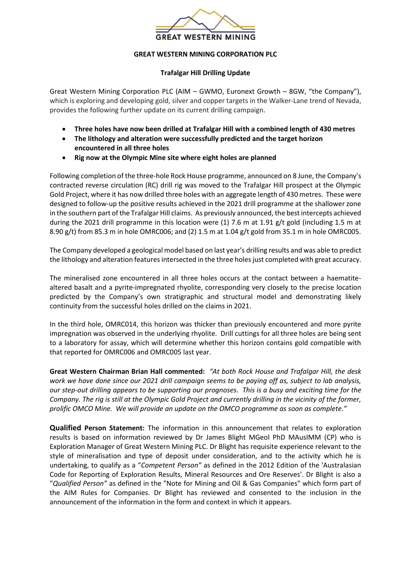

## **GREAT WESTERN MINING CORPORATION PLC**

## **Trafalgar Hill Drilling Update**

Great Western Mining Corporation PLC (AIM – GWMO, Euronext Growth – 8GW, "the Company"), which is exploring and developing gold, silver and copper targets in the Walker-Lane trend of Nevada, provides the following further update on its current drilling campaign.

- **Three holes have now been drilled at Trafalgar Hill with a combined length of 430 metres**
- **The lithology and alteration were successfully predicted and the target horizon encountered in all three holes**
- **Rig now at the Olympic Mine site where eight holes are planned**

Following completion of the three-hole Rock House programme, announced on 8 June, the Company's contracted reverse circulation (RC) drill rig was moved to the Trafalgar Hill prospect at the Olympic Gold Project, where it has now drilled three holes with an aggregate length of 430 metres. These were designed to follow-up the positive results achieved in the 2021 drill programme at the shallower zone in the southern part of the Trafalgar Hill claims. As previously announced, the best intercepts achieved during the 2021 drill programme in this location were (1) 7.6 m at 1.91 g/t gold (including 1.5 m at 8.90 g/t) from 85.3 m in hole OMRC006; and (2) 1.5 m at 1.04 g/t gold from 35.1 m in hole OMRC005.

The Company developed a geological model based on last year's drilling results and was able to predict the lithology and alteration features intersected in the three holes just completed with great accuracy.

The mineralised zone encountered in all three holes occurs at the contact between a haematitealtered basalt and a pyrite-impregnated rhyolite, corresponding very closely to the precise location predicted by the Company's own stratigraphic and structural model and demonstrating likely continuity from the successful holes drilled on the claims in 2021.

In the third hole, OMRC014, this horizon was thicker than previously encountered and more pyrite impregnation was observed in the underlying rhyolite. Drill cuttings for all three holes are being sent to a laboratory for assay, which will determine whether this horizon contains gold compatible with that reported for OMRC006 and OMRC005 last year.

**Great Western Chairman Brian Hall commented:** *"At both Rock House and Trafalgar Hill, the desk work we have done since our 2021 drill campaign seems to be paying off as, subject to lab analysis, our step-out drilling appears to be supporting our prognoses. This is a busy and exciting time for the Company. The rig is still at the Olympic Gold Project and currently drilling in the vicinity of the former, prolific OMCO Mine. We will provide an update on the OMCO programme as soon as complete."*

**Qualified Person Statement:** The information in this announcement that relates to exploration results is based on information reviewed by Dr James Blight MGeol PhD MAusIMM (CP) who is Exploration Manager of Great Western Mining PLC. Dr Blight has requisite experience relevant to the style of mineralisation and type of deposit under consideration, and to the activity which he is undertaking, to qualify as a "*Competent Person"* as defined in the 2012 Edition of the 'Australasian Code for Reporting of Exploration Results, Mineral Resources and Ore Reserves'. Dr Blight is also a "*Qualified Person"* as defined in the "Note for Mining and Oil & Gas Companies" which form part of the AIM Rules for Companies. Dr Blight has reviewed and consented to the inclusion in the announcement of the information in the form and context in which it appears.